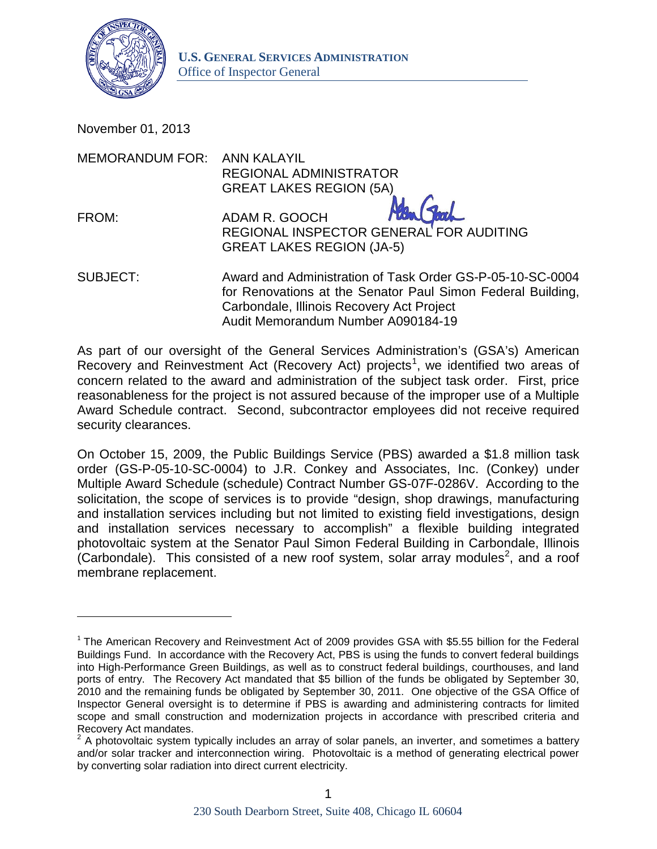

November 01, 2013

 $\overline{\phantom{a}}$ 

| <b>MEMORANDUM FOR: ANN KALAYIL</b> | <b>REGIONAL ADMINISTRATOR</b>                                                                                                                                         |
|------------------------------------|-----------------------------------------------------------------------------------------------------------------------------------------------------------------------|
|                                    | <b>GREAT LAKES REGION (5A)</b>                                                                                                                                        |
| FROM:                              | ADAM R. GOOCH<br>REGIONAL INSPECTOR GENERAL FOR AUDITING<br><b>GREAT LAKES REGION (JA-5)</b>                                                                          |
| <b>SUBJECT:</b>                    | Award and Administration of Task Order GS-P-05-10-SC-0004<br>for Renovations at the Senator Paul Simon Federal Building,<br>Carbondale, Illinois Recovery Act Project |

Audit Memorandum Number A090184-19

As part of our oversight of the General Services Administration's (GSA's) American Recovery and Reinvestment Act (Recovery Act) projects<sup>[1](#page-0-0)</sup>, we identified two areas of concern related to the award and administration of the subject task order. First, price reasonableness for the project is not assured because of the improper use of a Multiple Award Schedule contract. Second, subcontractor employees did not receive required security clearances.

On October 15, 2009, the Public Buildings Service (PBS) awarded a \$1.8 million task order (GS-P-05-10-SC-0004) to J.R. Conkey and Associates, Inc. (Conkey) under Multiple Award Schedule (schedule) Contract Number GS-07F-0286V. According to the solicitation, the scope of services is to provide "design, shop drawings, manufacturing and installation services including but not limited to existing field investigations, design and installation services necessary to accomplish" a flexible building integrated photovoltaic system at the Senator Paul Simon Federal Building in Carbondale, Illinois (Carbondale). This consisted of a new roof system, solar array modules<sup>[2](#page-0-1)</sup>, and a roof membrane replacement.

<span id="page-0-0"></span> $1$  The American Recovery and Reinvestment Act of 2009 provides GSA with \$5.55 billion for the Federal Buildings Fund. In accordance with the Recovery Act, PBS is using the funds to convert federal buildings into High-Performance Green Buildings, as well as to construct federal buildings, courthouses, and land ports of entry. The Recovery Act mandated that \$5 billion of the funds be obligated by September 30, 2010 and the remaining funds be obligated by September 30, 2011. One objective of the GSA Office of Inspector General oversight is to determine if PBS is awarding and administering contracts for limited scope and small construction and modernization projects in accordance with prescribed criteria and Recovery Act mandates.

<span id="page-0-1"></span> $2$  A photovoltaic system typically includes an array of solar panels, an inverter, and sometimes a battery and/or solar tracker and interconnection wiring. Photovoltaic is a method of generating electrical power by converting solar radiation into direct current electricity.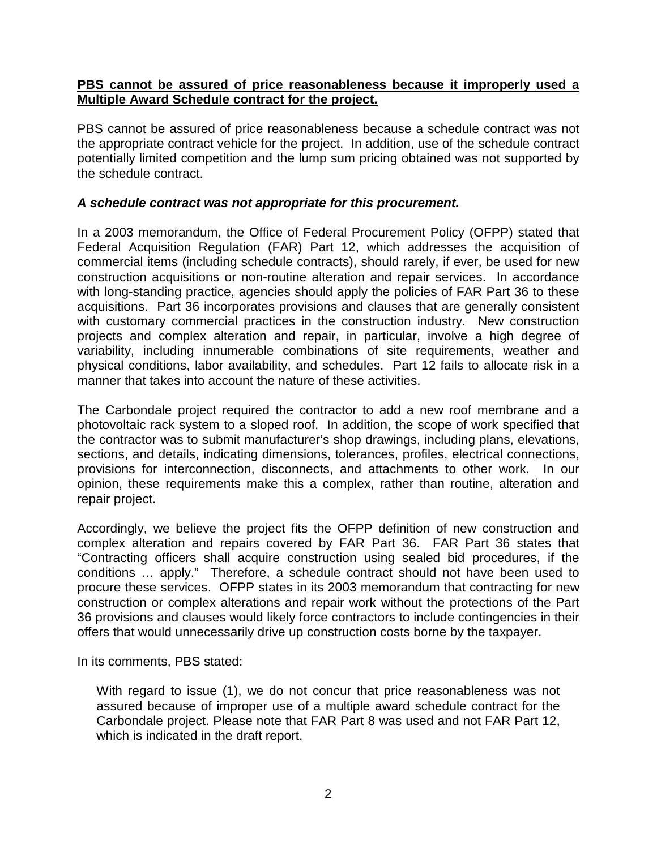## **PBS cannot be assured of price reasonableness because it improperly used a Multiple Award Schedule contract for the project.**

PBS cannot be assured of price reasonableness because a schedule contract was not the appropriate contract vehicle for the project. In addition, use of the schedule contract potentially limited competition and the lump sum pricing obtained was not supported by the schedule contract.

## *A schedule contract was not appropriate for this procurement.*

In a 2003 memorandum, the Office of Federal Procurement Policy (OFPP) stated that Federal Acquisition Regulation (FAR) Part 12, which addresses the acquisition of commercial items (including schedule contracts), should rarely, if ever, be used for new construction acquisitions or non-routine alteration and repair services. In accordance with long-standing practice, agencies should apply the policies of FAR Part 36 to these acquisitions. Part 36 incorporates provisions and clauses that are generally consistent with customary commercial practices in the construction industry. New construction projects and complex alteration and repair, in particular, involve a high degree of variability, including innumerable combinations of site requirements, weather and physical conditions, labor availability, and schedules. Part 12 fails to allocate risk in a manner that takes into account the nature of these activities.

The Carbondale project required the contractor to add a new roof membrane and a photovoltaic rack system to a sloped roof. In addition, the scope of work specified that the contractor was to submit manufacturer's shop drawings, including plans, elevations, sections, and details, indicating dimensions, tolerances, profiles, electrical connections, provisions for interconnection, disconnects, and attachments to other work. In our opinion, these requirements make this a complex, rather than routine, alteration and repair project.

Accordingly, we believe the project fits the OFPP definition of new construction and complex alteration and repairs covered by FAR Part 36. FAR Part 36 states that "Contracting officers shall acquire construction using sealed bid procedures, if the conditions … apply." Therefore, a schedule contract should not have been used to procure these services. OFPP states in its 2003 memorandum that contracting for new construction or complex alterations and repair work without the protections of the Part 36 provisions and clauses would likely force contractors to include contingencies in their offers that would unnecessarily drive up construction costs borne by the taxpayer.

In its comments, PBS stated:

With regard to issue (1), we do not concur that price reasonableness was not assured because of improper use of a multiple award schedule contract for the Carbondale project. Please note that FAR Part 8 was used and not FAR Part 12, which is indicated in the draft report.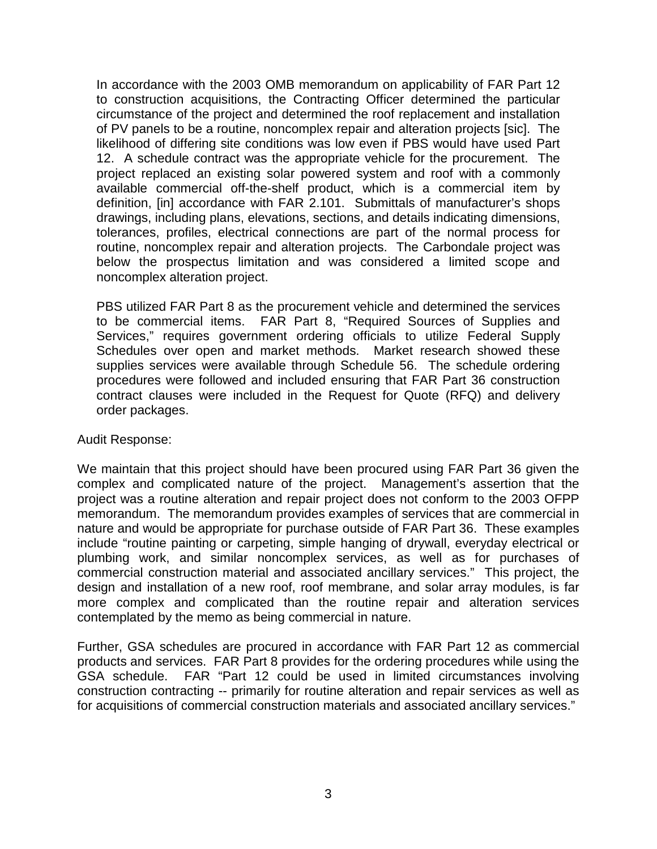In accordance with the 2003 OMB memorandum on applicability of FAR Part 12 to construction acquisitions, the Contracting Officer determined the particular circumstance of the project and determined the roof replacement and installation of PV panels to be a routine, noncomplex repair and alteration projects [sic]. The likelihood of differing site conditions was low even if PBS would have used Part 12. A schedule contract was the appropriate vehicle for the procurement. The project replaced an existing solar powered system and roof with a commonly available commercial off-the-shelf product, which is a commercial item by definition, [in] accordance with FAR 2.101. Submittals of manufacturer's shops drawings, including plans, elevations, sections, and details indicating dimensions, tolerances, profiles, electrical connections are part of the normal process for routine, noncomplex repair and alteration projects. The Carbondale project was below the prospectus limitation and was considered a limited scope and noncomplex alteration project.

PBS utilized FAR Part 8 as the procurement vehicle and determined the services to be commercial items. FAR Part 8, "Required Sources of Supplies and Services," requires government ordering officials to utilize Federal Supply Schedules over open and market methods. Market research showed these supplies services were available through Schedule 56. The schedule ordering procedures were followed and included ensuring that FAR Part 36 construction contract clauses were included in the Request for Quote (RFQ) and delivery order packages.

#### Audit Response:

We maintain that this project should have been procured using FAR Part 36 given the complex and complicated nature of the project. Management's assertion that the project was a routine alteration and repair project does not conform to the 2003 OFPP memorandum. The memorandum provides examples of services that are commercial in nature and would be appropriate for purchase outside of FAR Part 36. These examples include "routine painting or carpeting, simple hanging of drywall, everyday electrical or plumbing work, and similar noncomplex services, as well as for purchases of commercial construction material and associated ancillary services." This project, the design and installation of a new roof, roof membrane, and solar array modules, is far more complex and complicated than the routine repair and alteration services contemplated by the memo as being commercial in nature.

Further, GSA schedules are procured in accordance with FAR Part 12 as commercial products and services. FAR Part 8 provides for the ordering procedures while using the GSA schedule. FAR "Part 12 could be used in limited circumstances involving construction contracting -- primarily for routine alteration and repair services as well as for acquisitions of commercial construction materials and associated ancillary services."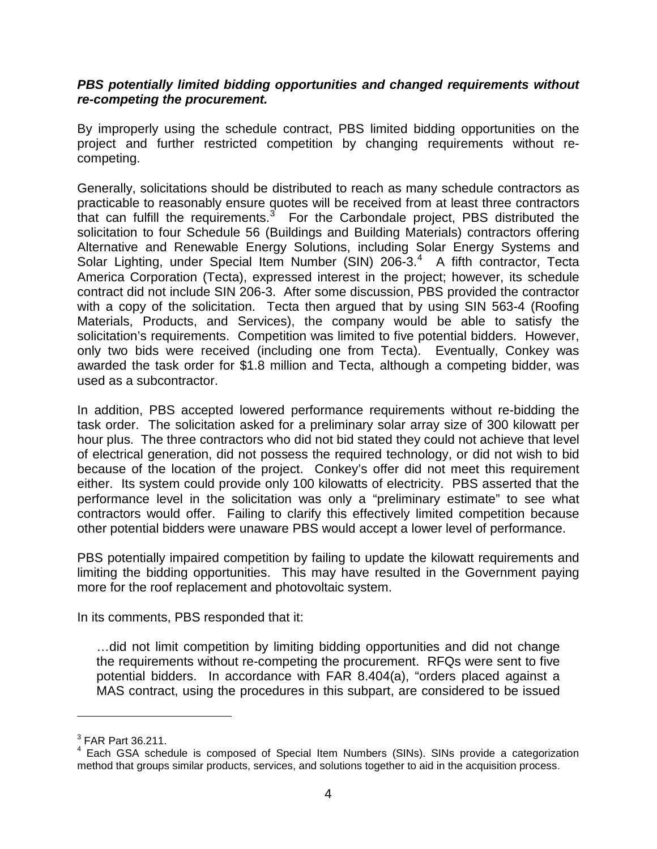### *PBS potentially limited bidding opportunities and changed requirements without re-competing the procurement.*

By improperly using the schedule contract, PBS limited bidding opportunities on the project and further restricted competition by changing requirements without recompeting.

Generally, solicitations should be distributed to reach as many schedule contractors as practicable to reasonably ensure quotes will be received from at least three contractors that can fulfill the requirements. $3$  For the Carbondale project, PBS distributed the solicitation to four Schedule 56 (Buildings and Building Materials) contractors offering Alternative and Renewable Energy Solutions, including Solar Energy Systems and Solar Lighting, under Special Item Number (SIN) 206-3.<sup>[4](#page-3-1)</sup> A fifth contractor, Tecta America Corporation (Tecta), expressed interest in the project; however, its schedule contract did not include SIN 206-3. After some discussion, PBS provided the contractor with a copy of the solicitation. Tecta then argued that by using SIN 563-4 (Roofing Materials, Products, and Services), the company would be able to satisfy the solicitation's requirements. Competition was limited to five potential bidders. However, only two bids were received (including one from Tecta). Eventually, Conkey was awarded the task order for \$1.8 million and Tecta, although a competing bidder, was used as a subcontractor.

In addition, PBS accepted lowered performance requirements without re-bidding the task order. The solicitation asked for a preliminary solar array size of 300 kilowatt per hour plus. The three contractors who did not bid stated they could not achieve that level of electrical generation, did not possess the required technology, or did not wish to bid because of the location of the project. Conkey's offer did not meet this requirement either. Its system could provide only 100 kilowatts of electricity. PBS asserted that the performance level in the solicitation was only a "preliminary estimate" to see what contractors would offer. Failing to clarify this effectively limited competition because other potential bidders were unaware PBS would accept a lower level of performance.

PBS potentially impaired competition by failing to update the kilowatt requirements and limiting the bidding opportunities. This may have resulted in the Government paying more for the roof replacement and photovoltaic system.

In its comments, PBS responded that it:

…did not limit competition by limiting bidding opportunities and did not change the requirements without re-competing the procurement. RFQs were sent to five potential bidders. In accordance with FAR 8.404(a), "orders placed against a MAS contract, using the procedures in this subpart, are considered to be issued

l

<span id="page-3-0"></span> $3$  FAR Part 36.211.

<span id="page-3-1"></span><sup>&</sup>lt;sup>4</sup> Each GSA schedule is composed of Special Item Numbers (SINs). SINs provide a categorization method that groups similar products, services, and solutions together to aid in the acquisition process.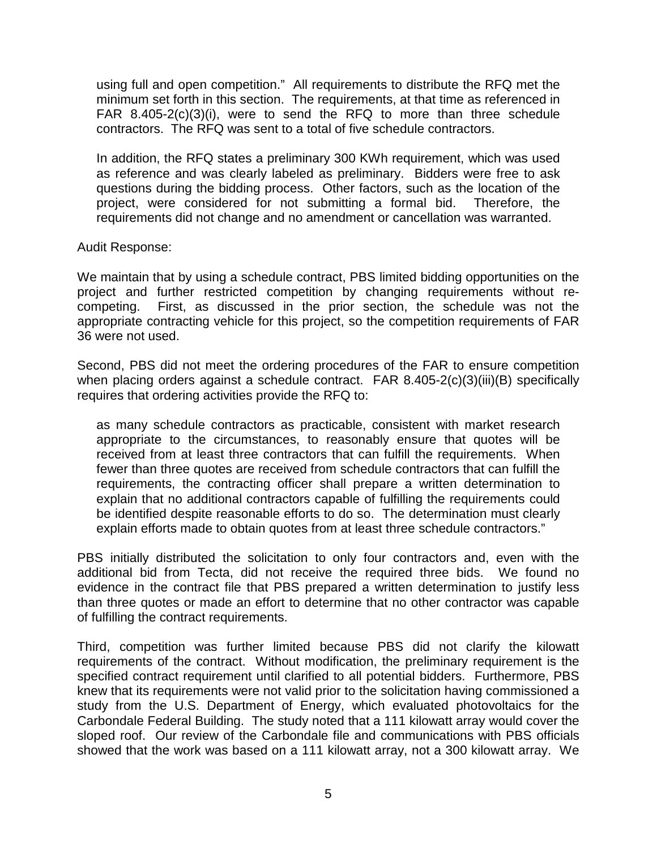using full and open competition." All requirements to distribute the RFQ met the minimum set forth in this section. The requirements, at that time as referenced in FAR 8.405-2(c)(3)(i), were to send the RFQ to more than three schedule contractors. The RFQ was sent to a total of five schedule contractors.

In addition, the RFQ states a preliminary 300 KWh requirement, which was used as reference and was clearly labeled as preliminary. Bidders were free to ask questions during the bidding process. Other factors, such as the location of the project, were considered for not submitting a formal bid. Therefore, the requirements did not change and no amendment or cancellation was warranted.

#### Audit Response:

We maintain that by using a schedule contract, PBS limited bidding opportunities on the project and further restricted competition by changing requirements without recompeting. First, as discussed in the prior section, the schedule was not the appropriate contracting vehicle for this project, so the competition requirements of FAR 36 were not used.

Second, PBS did not meet the ordering procedures of the FAR to ensure competition when placing orders against a schedule contract. FAR 8.405-2(c)(3)(iii)(B) specifically requires that ordering activities provide the RFQ to:

as many schedule contractors as practicable, consistent with market research appropriate to the circumstances, to reasonably ensure that quotes will be received from at least three contractors that can fulfill the requirements. When fewer than three quotes are received from schedule contractors that can fulfill the requirements, the contracting officer shall prepare a written determination to explain that no additional contractors capable of fulfilling the requirements could be identified despite reasonable efforts to do so. The determination must clearly explain efforts made to obtain quotes from at least three schedule contractors."

PBS initially distributed the solicitation to only four contractors and, even with the additional bid from Tecta, did not receive the required three bids. We found no evidence in the contract file that PBS prepared a written determination to justify less than three quotes or made an effort to determine that no other contractor was capable of fulfilling the contract requirements.

Third, competition was further limited because PBS did not clarify the kilowatt requirements of the contract. Without modification, the preliminary requirement is the specified contract requirement until clarified to all potential bidders. Furthermore, PBS knew that its requirements were not valid prior to the solicitation having commissioned a study from the U.S. Department of Energy, which evaluated photovoltaics for the Carbondale Federal Building. The study noted that a 111 kilowatt array would cover the sloped roof. Our review of the Carbondale file and communications with PBS officials showed that the work was based on a 111 kilowatt array, not a 300 kilowatt array. We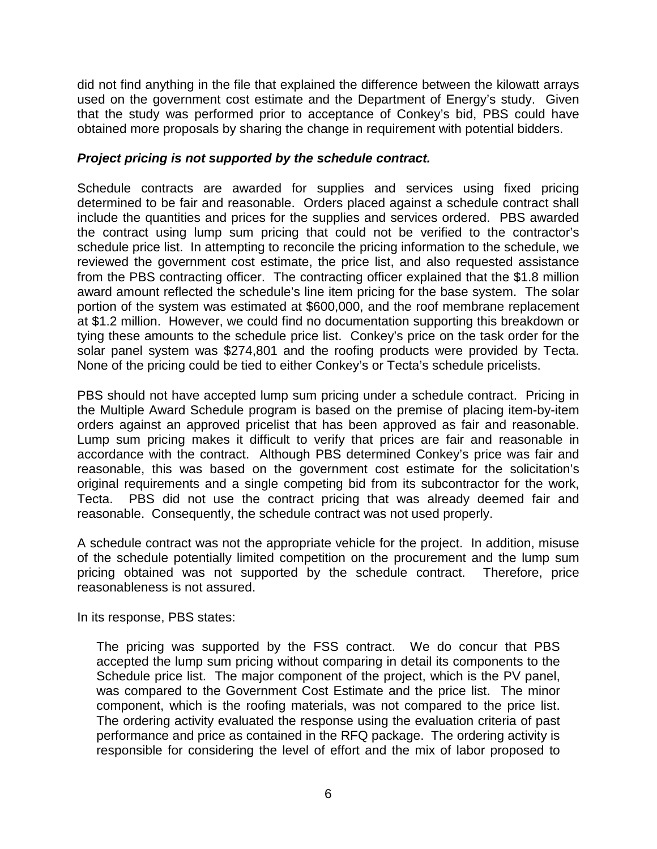did not find anything in the file that explained the difference between the kilowatt arrays used on the government cost estimate and the Department of Energy's study. Given that the study was performed prior to acceptance of Conkey's bid, PBS could have obtained more proposals by sharing the change in requirement with potential bidders.

## *Project pricing is not supported by the schedule contract.*

Schedule contracts are awarded for supplies and services using fixed pricing determined to be fair and reasonable. Orders placed against a schedule contract shall include the quantities and prices for the supplies and services ordered. PBS awarded the contract using lump sum pricing that could not be verified to the contractor's schedule price list. In attempting to reconcile the pricing information to the schedule, we reviewed the government cost estimate, the price list, and also requested assistance from the PBS contracting officer. The contracting officer explained that the \$1.8 million award amount reflected the schedule's line item pricing for the base system. The solar portion of the system was estimated at \$600,000, and the roof membrane replacement at \$1.2 million. However, we could find no documentation supporting this breakdown or tying these amounts to the schedule price list. Conkey's price on the task order for the solar panel system was \$274,801 and the roofing products were provided by Tecta. None of the pricing could be tied to either Conkey's or Tecta's schedule pricelists.

PBS should not have accepted lump sum pricing under a schedule contract. Pricing in the Multiple Award Schedule program is based on the premise of placing item-by-item orders against an approved pricelist that has been approved as fair and reasonable. Lump sum pricing makes it difficult to verify that prices are fair and reasonable in accordance with the contract. Although PBS determined Conkey's price was fair and reasonable, this was based on the government cost estimate for the solicitation's original requirements and a single competing bid from its subcontractor for the work, Tecta. PBS did not use the contract pricing that was already deemed fair and reasonable. Consequently, the schedule contract was not used properly.

A schedule contract was not the appropriate vehicle for the project. In addition, misuse of the schedule potentially limited competition on the procurement and the lump sum pricing obtained was not supported by the schedule contract. Therefore, price reasonableness is not assured.

In its response, PBS states:

The pricing was supported by the FSS contract. We do concur that PBS accepted the lump sum pricing without comparing in detail its components to the Schedule price list. The major component of the project, which is the PV panel, was compared to the Government Cost Estimate and the price list. The minor component, which is the roofing materials, was not compared to the price list. The ordering activity evaluated the response using the evaluation criteria of past performance and price as contained in the RFQ package. The ordering activity is responsible for considering the level of effort and the mix of labor proposed to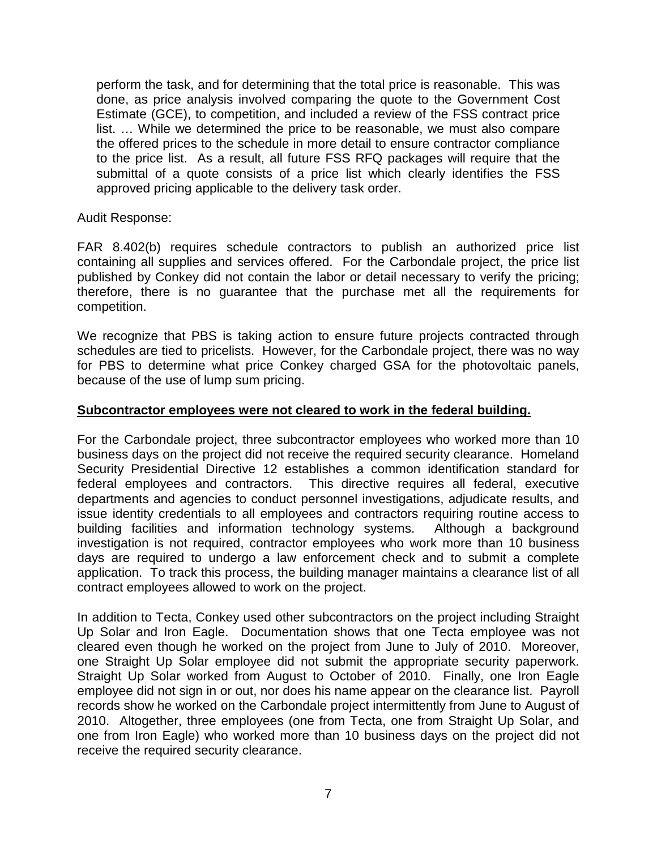perform the task, and for determining that the total price is reasonable. This was done, as price analysis involved comparing the quote to the Government Cost Estimate (GCE), to competition, and included a review of the FSS contract price list. … While we determined the price to be reasonable, we must also compare the offered prices to the schedule in more detail to ensure contractor compliance to the price list. As a result, all future FSS RFQ packages will require that the submittal of a quote consists of a price list which clearly identifies the FSS approved pricing applicable to the delivery task order.

Audit Response:

FAR 8.402(b) requires schedule contractors to publish an authorized price list containing all supplies and services offered. For the Carbondale project, the price list published by Conkey did not contain the labor or detail necessary to verify the pricing; therefore, there is no guarantee that the purchase met all the requirements for competition.

We recognize that PBS is taking action to ensure future projects contracted through schedules are tied to pricelists. However, for the Carbondale project, there was no way for PBS to determine what price Conkey charged GSA for the photovoltaic panels, because of the use of lump sum pricing.

## **Subcontractor employees were not cleared to work in the federal building.**

For the Carbondale project, three subcontractor employees who worked more than 10 business days on the project did not receive the required security clearance. Homeland Security Presidential Directive 12 establishes a common identification standard for federal employees and contractors. This directive requires all federal, executive departments and agencies to conduct personnel investigations, adjudicate results, and issue identity credentials to all employees and contractors requiring routine access to building facilities and information technology systems. Although a background investigation is not required, contractor employees who work more than 10 business days are required to undergo a law enforcement check and to submit a complete application. To track this process, the building manager maintains a clearance list of all contract employees allowed to work on the project.

In addition to Tecta, Conkey used other subcontractors on the project including Straight Up Solar and Iron Eagle. Documentation shows that one Tecta employee was not cleared even though he worked on the project from June to July of 2010. Moreover, one Straight Up Solar employee did not submit the appropriate security paperwork. Straight Up Solar worked from August to October of 2010. Finally, one Iron Eagle employee did not sign in or out, nor does his name appear on the clearance list. Payroll records show he worked on the Carbondale project intermittently from June to August of 2010. Altogether, three employees (one from Tecta, one from Straight Up Solar, and one from Iron Eagle) who worked more than 10 business days on the project did not receive the required security clearance.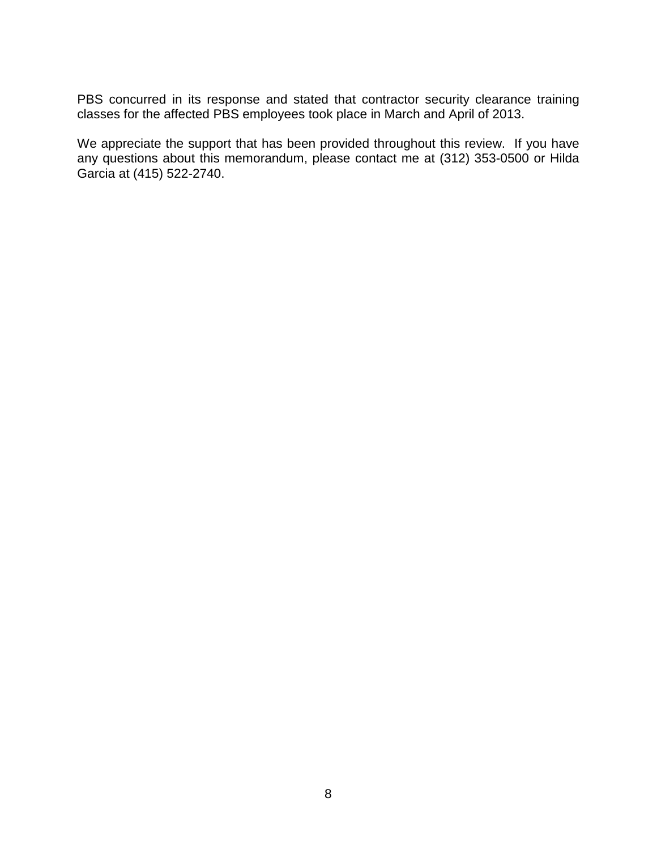PBS concurred in its response and stated that contractor security clearance training classes for the affected PBS employees took place in March and April of 2013.

We appreciate the support that has been provided throughout this review. If you have any questions about this memorandum, please contact me at (312) 353-0500 or Hilda Garcia at (415) 522-2740.